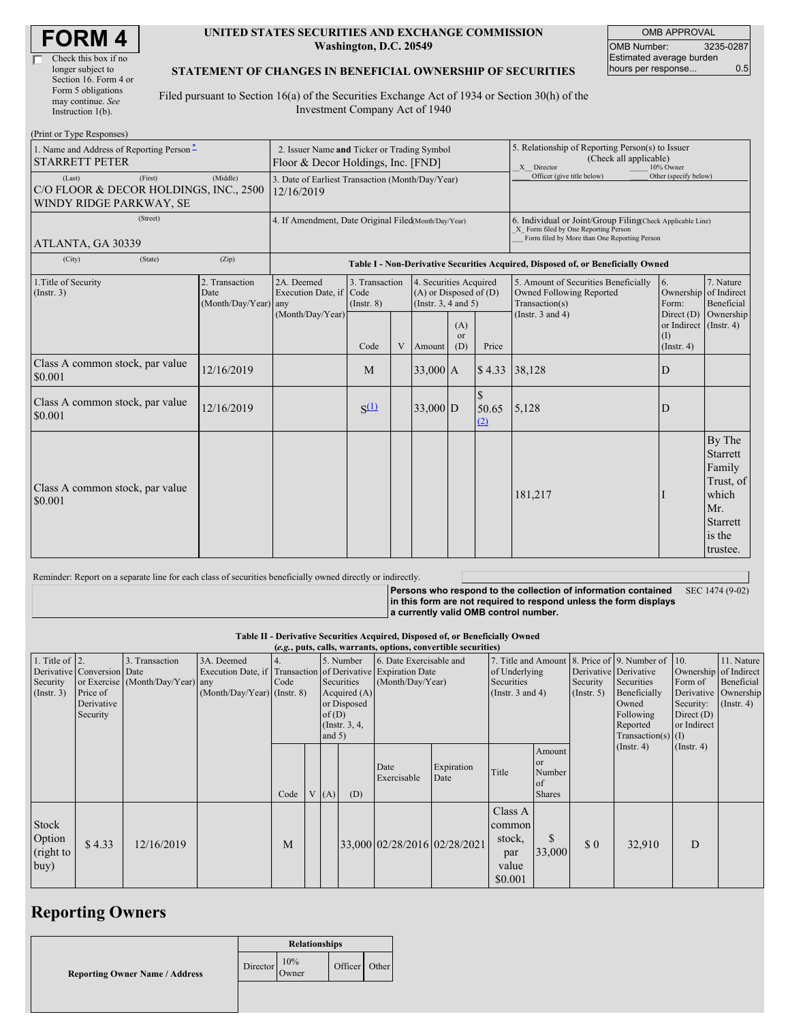#### **UNITED STATES SECURITIES AND EXCHANGE COMMISSION Washington, D.C. 20549**

OMB APPROVAL OMB Number: 3235-0287 Estimated average burden hours per response... 0.5

### **STATEMENT OF CHANGES IN BENEFICIAL OWNERSHIP OF SECURITIES**

Filed pursuant to Section 16(a) of the Securities Exchange Act of 1934 or Section 30(h) of the Investment Company Act of 1940

| (Print or Type Responses)                                                              |                                                                                   |                                                                                  |                                   |   |                                                                              |                             |                                                                                                                                                    |                                                                                    |                                                                   |                                                                                                    |  |
|----------------------------------------------------------------------------------------|-----------------------------------------------------------------------------------|----------------------------------------------------------------------------------|-----------------------------------|---|------------------------------------------------------------------------------|-----------------------------|----------------------------------------------------------------------------------------------------------------------------------------------------|------------------------------------------------------------------------------------|-------------------------------------------------------------------|----------------------------------------------------------------------------------------------------|--|
| 1. Name and Address of Reporting Person*<br><b>STARRETT PETER</b>                      | 2. Issuer Name and Ticker or Trading Symbol<br>Floor & Decor Holdings, Inc. [FND] |                                                                                  |                                   |   |                                                                              |                             | 5. Relationship of Reporting Person(s) to Issuer<br>(Check all applicable)<br>X Director<br>10% Owner                                              |                                                                                    |                                                                   |                                                                                                    |  |
| (Last)<br>(First)<br>C/O FLOOR & DECOR HOLDINGS, INC., 2500<br>WINDY RIDGE PARKWAY, SE | 3. Date of Earliest Transaction (Month/Day/Year)<br>12/16/2019                    |                                                                                  |                                   |   |                                                                              |                             | Officer (give title below)                                                                                                                         | Other (specify below)                                                              |                                                                   |                                                                                                    |  |
| (Street)<br>ATLANTA, GA 30339                                                          | 4. If Amendment, Date Original Filed(Month/Day/Year)                              |                                                                                  |                                   |   |                                                                              |                             | 6. Individual or Joint/Group Filing(Check Applicable Line)<br>X Form filed by One Reporting Person<br>Form filed by More than One Reporting Person |                                                                                    |                                                                   |                                                                                                    |  |
| (City)<br>(State)                                                                      | (Zip)                                                                             | Table I - Non-Derivative Securities Acquired, Disposed of, or Beneficially Owned |                                   |   |                                                                              |                             |                                                                                                                                                    |                                                                                    |                                                                   |                                                                                                    |  |
| 1. Title of Security<br>(Insert. 3)                                                    | 2. Transaction<br>Date<br>(Month/Day/Year) any                                    | 2A. Deemed<br>Execution Date, if Code<br>(Month/Day/Year)                        | 3. Transaction<br>$($ Instr. $8)$ |   | 4. Securities Acquired<br>$(A)$ or Disposed of $(D)$<br>(Insert. 3, 4 and 5) |                             |                                                                                                                                                    | 5. Amount of Securities Beneficially<br>Owned Following Reported<br>Transaction(s) | 6.<br>Ownership<br>Form:                                          | 7. Nature<br>of Indirect<br>Beneficial                                                             |  |
|                                                                                        |                                                                                   |                                                                                  | Code                              | V | Amount                                                                       | (A)<br><sub>or</sub><br>(D) | Price                                                                                                                                              | (Instr. $3$ and $4$ )                                                              | Direct $(D)$<br>or Indirect (Instr. 4)<br>(I)<br>$($ Instr. 4 $)$ | Ownership                                                                                          |  |
| Class A common stock, par value<br>\$0.001                                             | 12/16/2019                                                                        |                                                                                  | M                                 |   | $33,000$ A                                                                   |                             | \$4.33                                                                                                                                             | 38,128                                                                             | D                                                                 |                                                                                                    |  |
| Class A common stock, par value<br>\$0.001                                             | 12/16/2019                                                                        |                                                                                  | $S^{(1)}$                         |   | $33,000$ D                                                                   |                             | <sup>\$</sup><br>50.65<br>(2)                                                                                                                      | 5,128                                                                              | D                                                                 |                                                                                                    |  |
| Class A common stock, par value<br>\$0.001                                             |                                                                                   |                                                                                  |                                   |   |                                                                              |                             |                                                                                                                                                    | 181,217                                                                            |                                                                   | By The<br><b>Starrett</b><br>Family<br>Trust, of<br>which<br>Mr.<br>Starrett<br>is the<br>trustee. |  |

Reminder: Report on a separate line for each class of securities beneficially owned directly or indirectly.

**Persons who respond to the collection of information contained in this form are not required to respond unless the form displays a currently valid OMB control number.** SEC 1474 (9-02)

#### **Table II - Derivative Securities Acquired, Disposed of, or Beneficially Owned**

| (e.g., puts, calls, warrants, options, convertible securities) |                                                                  |                                                    |                                                                                                             |      |  |                                                                                                     |     |                                             |                    |                                                                                                          |                                                          |                                                  |                                                                                                               |                                                     |                                                                                            |
|----------------------------------------------------------------|------------------------------------------------------------------|----------------------------------------------------|-------------------------------------------------------------------------------------------------------------|------|--|-----------------------------------------------------------------------------------------------------|-----|---------------------------------------------|--------------------|----------------------------------------------------------------------------------------------------------|----------------------------------------------------------|--------------------------------------------------|---------------------------------------------------------------------------------------------------------------|-----------------------------------------------------|--------------------------------------------------------------------------------------------|
| 1. Title of $\vert$ 2.<br>Security<br>$($ Instr. 3 $)$         | Derivative Conversion Date<br>Price of<br>Derivative<br>Security | 3. Transaction<br>or Exercise (Month/Day/Year) any | 3A. Deemed<br>Execution Date, if Transaction of Derivative Expiration Date<br>$(Month/Day/Year)$ (Instr. 8) | Code |  | 5. Number<br>Securities<br>Acquired $(A)$<br>or Disposed<br>of $(D)$<br>(Instr. $3, 4,$<br>and $5)$ |     | 6. Date Exercisable and<br>(Month/Day/Year) |                    | 7. Title and Amount 8. Price of 9. Number of 10.<br>of Underlying<br>Securities<br>(Instr. $3$ and $4$ ) |                                                          | Security<br>$($ Instr. 5)                        | Derivative Derivative<br>Securities<br>Beneficially<br>Owned<br>Following<br>Reported<br>Transaction(s) $(I)$ | Form of<br>Security:<br>Direct $(D)$<br>or Indirect | 11. Nature<br>Ownership of Indirect<br>Beneficial<br>Derivative Ownership<br>$($ Instr. 4) |
|                                                                |                                                                  |                                                    |                                                                                                             | Code |  | V(A)                                                                                                | (D) | Date<br>Exercisable                         | Expiration<br>Date | Title                                                                                                    | Amount<br><sub>or</sub><br>Number<br>of<br><b>Shares</b> |                                                  | $($ Instr. 4 $)$                                                                                              | $($ Instr. 4 $)$                                    |                                                                                            |
| Stock<br>Option<br>(right to<br>buy)                           | \$4.33                                                           | 12/16/2019                                         |                                                                                                             | M    |  |                                                                                                     |     | 33,000 02/28/2016 02/28/2021                |                    | Class A<br>common<br>stock,<br>par<br>value<br>\$0.001                                                   | 33,000                                                   | $\boldsymbol{\mathsf{S}}\boldsymbol{\mathsf{0}}$ | 32,910                                                                                                        | D                                                   |                                                                                            |

# **Reporting Owners**

|                                       | <b>Relationships</b> |              |         |       |  |
|---------------------------------------|----------------------|--------------|---------|-------|--|
| <b>Reporting Owner Name / Address</b> | Director             | 10%<br>Owner | Officer | Other |  |
|                                       |                      |              |         |       |  |